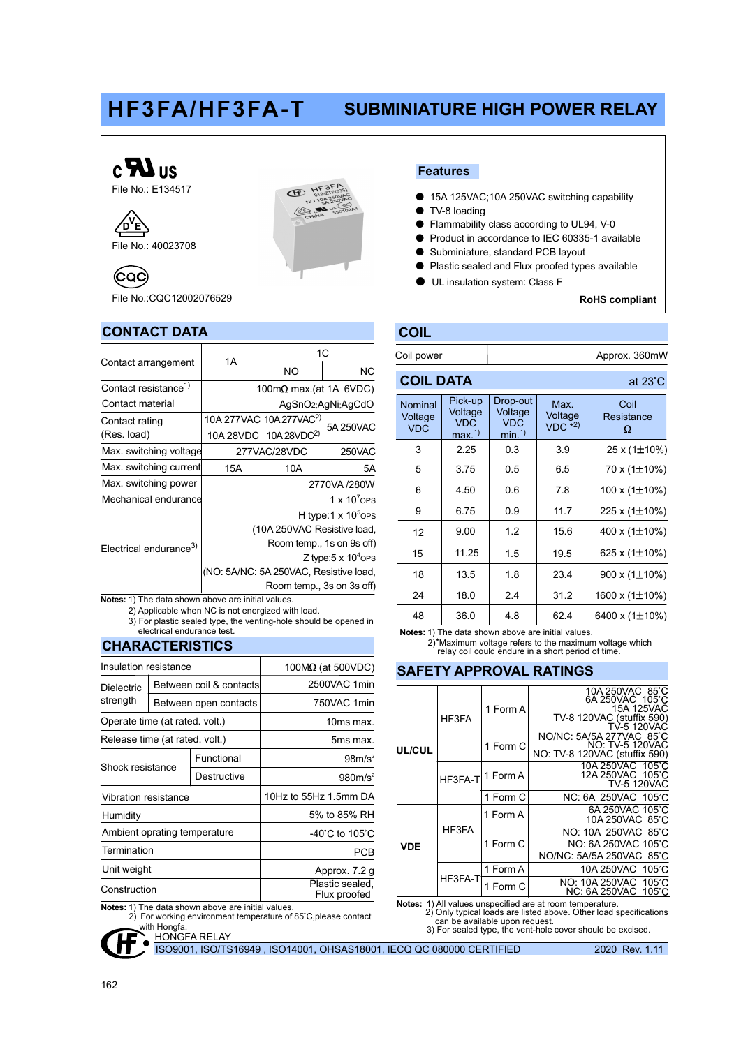# HF3FA/HF3FA-T SUBMINIATURE HIGH POWER RELAY



File No.: 40023708  $b^{\prime}$ e $\overline{b}$ 

(CQC)



File No.:CQC12002076529

### CONTACT DATA

|                                    | 1A                                     | 1C                                  |           |  |  |  |
|------------------------------------|----------------------------------------|-------------------------------------|-----------|--|--|--|
| Contact arrangement                |                                        | NO                                  | <b>NC</b> |  |  |  |
| Contact resistance <sup>1)</sup>   | 100m $\Omega$ max.(at 1A 6VDC)         |                                     |           |  |  |  |
| Contact material                   | AgSnO2;AgNi;AgCdO                      |                                     |           |  |  |  |
| Contact rating                     |                                        | 10A 277VAC 10A 277VAC <sup>2)</sup> | 5A 250VAC |  |  |  |
| (Res. load)                        |                                        | 10A 28VDC   10A 28VDC <sup>2)</sup> |           |  |  |  |
| Max. switching voltage             |                                        | 277VAC/28VDC                        | 250VAC    |  |  |  |
| Max. switching current             | 15A                                    | 10A                                 | 5A        |  |  |  |
| Max. switching power               | 2770VA /280W                           |                                     |           |  |  |  |
| Mechanical endurance               | 1 x $10^7$ OPS                         |                                     |           |  |  |  |
|                                    | H type: $1 \times 10^5$ OPS            |                                     |           |  |  |  |
|                                    | (10A 250VAC Resistive load,            |                                     |           |  |  |  |
| Electrical endurance <sup>3)</sup> | Room temp., 1s on 9s off)              |                                     |           |  |  |  |
|                                    | Z type: $5 \times 10^4$ OPS            |                                     |           |  |  |  |
|                                    | (NO: 5A/NC: 5A 250VAC, Resistive load, |                                     |           |  |  |  |
|                                    | Room temp., 3s on 3s off)              |                                     |           |  |  |  |

 2) Applicable when NC is not energized with load. Notes: 1) The data shown above are initial values.

3) For plastic sealed type, the venting-hole should be opened in electrical endurance test.

### CHARACTERISTICS

| Insulation resistance          |  |                                 | 100MΩ (at 500VDC)                    |  |  |
|--------------------------------|--|---------------------------------|--------------------------------------|--|--|
| Dielectric                     |  | Between coil & contacts         | 2500VAC 1min                         |  |  |
| strength                       |  | Between open contacts           | 750VAC 1min                          |  |  |
| Operate time (at rated. volt.) |  |                                 | 10ms max.                            |  |  |
| Release time (at rated. volt.) |  |                                 | 5ms max.                             |  |  |
| Shock resistance               |  | Functional                      | 98m/s <sup>2</sup>                   |  |  |
|                                |  | Destructive                     | 980m/s <sup>2</sup>                  |  |  |
| Vibration resistance           |  |                                 | 10Hz to 55Hz 1.5mm DA                |  |  |
| Humidity                       |  |                                 | 5% to 85% RH                         |  |  |
| Ambient oprating temperature   |  |                                 | -40 $^{\circ}$ C to 105 $^{\circ}$ C |  |  |
| Termination                    |  |                                 | PCB                                  |  |  |
| Unit weight                    |  |                                 | Approx. 7.2 g                        |  |  |
| Construction                   |  | Plastic sealed,<br>Flux proofed |                                      |  |  |
|                                |  |                                 |                                      |  |  |

Notes: 1) The data shown above are initial values.

2) For working environment temperature of 85°C, please contact with Hongfa.

Features

- 15A 125VAC;10A 250VAC switching capability
- TV-8 loading
- Flammability class according to UL94, V-0
- Product in accordance to IEC 60335-1 available
- Subminiature, standard PCB layout
- Plastic sealed and Flux proofed types available
- UL insulation system: Class F

RoHS compliant

 $\alpha$ t 23° $\alpha$ 

## COIL

COIL DATA

| Coil power | Approx. 360mW |
|------------|---------------|

|                                  |                                           | u.                                                        |                                |                         |
|----------------------------------|-------------------------------------------|-----------------------------------------------------------|--------------------------------|-------------------------|
| Nominal<br>Voltage<br><b>VDC</b> | Pick-up<br>Voltage<br><b>VDC</b><br>max.1 | Drop-out<br>Voltage<br><b>VDC</b><br>$min1$ <sup>1)</sup> | Max.<br>Voltage<br>$VDC$ $*2)$ | Coil<br>Resistance<br>Ω |
| 3                                | 2.25                                      | 0.3                                                       | 3.9                            | 25 x (1±10%)            |
| 5                                | 3.75                                      | 0.5                                                       | 6.5                            | 70 x (1±10%)            |
| 6                                | 4.50                                      | 0.6                                                       | 7.8                            | 100 x $(1\pm10\%)$      |
| 9                                | 6.75                                      | 0.9                                                       | 11.7                           | 225 x (1±10%)           |
| 12                               | 9.00                                      | 1.2                                                       | 15.6                           | 400 x $(1\pm10\%)$      |
| 15                               | 11.25<br>18<br>13.5<br>24<br>18.0         |                                                           | 19.5                           | 625 x (1±10%)           |
|                                  |                                           |                                                           | 23.4                           | 900 x $(1\pm10\%)$      |
|                                  |                                           |                                                           | 31.2                           | 1600 x (1±10%)          |
| 48                               | 36.0                                      | 4.8                                                       | 62.4                           | 6400 x (1±10%)          |
|                                  |                                           |                                                           |                                |                         |

Notes: 1) The data shown above are initial values.

2)\*Maximum voltage refers to the maximum voltage which relay coil could endure in a short period of time.

#### SAFETY APPROVAL RATINGS

| UL/CUL     | HF3FA   | 1 Form A | 10A 250VAC 85°C<br>6A 250VAC 105°C<br>15A 125VAC           |
|------------|---------|----------|------------------------------------------------------------|
|            |         |          | TV-8 120VAC (stuffix 590)<br>TV-5 120VAC                   |
|            |         | 1 Form C | NO/NC: 5A/5A 277VAC 85°C<br><b>NO: TV-5 120VAC</b>         |
|            |         |          | NO: TV-8 120VAC (stuffix 590)                              |
|            | HF3FA-T | 1 Form A | 10A 250VAC 105°C<br>12A 250VAC 105°C<br><b>TV-5 120VAC</b> |
|            |         | 1 Form C | NC: 6A 250VAC 105°C                                        |
| <b>VDE</b> | HF3FA   | 1 Form A | 6A 250VAC 105°C<br>10A 250VAC 85°C                         |
|            |         | 1 Form C | NO: 10A 250VAC 85°C                                        |
|            |         |          | NO: 6A 250VAC 105°C                                        |
|            |         |          | NO/NC: 5A/5A 250VAC 85°C                                   |
|            | HF3FA-T | 1 Form A | 10A 250VAC 105°C                                           |
|            |         | 1 Form C | NO: 10A 250VAC 105 °C<br>NC: 6A 250VAC 105°C               |

Notes: 1) All values unspecified are at room temperature. 2) Only typical loads are listed above. Other load specifications can be available upon request.

3) For sealed type, the vent-hole cover should be excised.

**HONGFA RELAY** 

ISO9001, ISO/TS16949 , ISO14001, OHSAS18001, IECQ QC 080000 CERTIFIED

2020 Rev. 1.11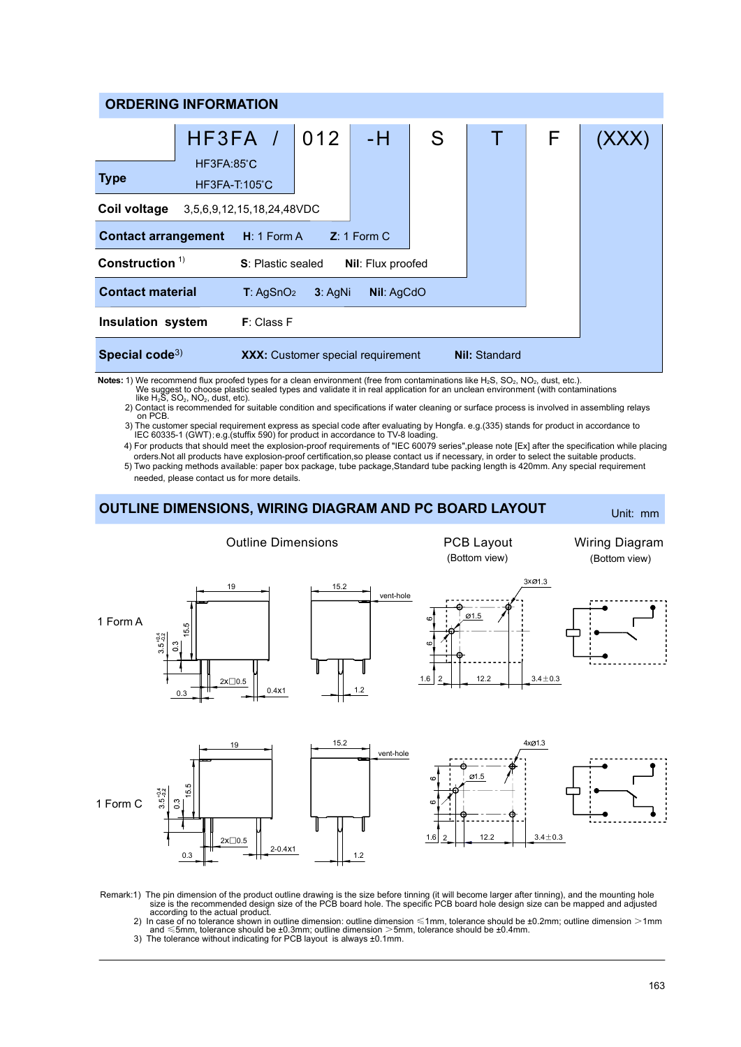| <b>ORDERING INFORMATION</b>                                              |                                      |                       |           |                                          |   |                      |   |  |
|--------------------------------------------------------------------------|--------------------------------------|-----------------------|-----------|------------------------------------------|---|----------------------|---|--|
|                                                                          | HF3FA /                              |                       | 012       | -H                                       | S |                      | F |  |
| <b>Type</b>                                                              | HF3FA:85°C<br>$HF3FA-T:105^{\circ}C$ |                       |           |                                          |   |                      |   |  |
| Coil voltage<br>3,5,6,9,12,15,18,24,48VDC                                |                                      |                       |           |                                          |   |                      |   |  |
| $Z: 1$ Form C<br><b>Contact arrangement</b><br>$H: 1$ Form A             |                                      |                       |           |                                          |   |                      |   |  |
| Construction $1$<br><b>S:</b> Plastic sealed<br><b>Nil:</b> Flux proofed |                                      |                       |           |                                          |   |                      |   |  |
| <b>Contact material</b>                                                  |                                      | T: AgSnO <sub>2</sub> | $3:$ AgNi | Nil: AgCdO                               |   |                      |   |  |
| <b>Insulation system</b>                                                 |                                      | F: Class F            |           |                                          |   |                      |   |  |
| Special code <sup>3)</sup>                                               |                                      |                       |           | <b>XXX:</b> Customer special requirement |   | <b>Nil: Standard</b> |   |  |

We suggest to choose plastic sealed types and validate it in real application for an unclean environment (with contaminations<br>like H<sub>2</sub>S, SO<sub>2</sub>, NO<sub>2</sub>, dust, etc). Notes: 1) We recommend flux proofed types for a clean environment (free from contaminations like H<sub>2</sub>S, SO<sub>2</sub>, NO<sub>2</sub>, dust, etc.).

2) Contact is recommended for suitable condition and specifications if water cleaning or surface process is involved in assembling relays on PCB.

3) The customer special requirement express as special code after evaluating by Hongfa. e.g.(335) stands for product in accordance to IEC 60335-1 (GWT);e.g.(stuffix 590) for product in accordance to TV-8 loading.

4) For products that should meet the explosion-proof requirements of "IEC 60079 series",please note [Ex] after the specification while placing orders.Not all products have explosion-proof certification,so please contact us if necessary, in order to select the suitable products.

5) Two packing methods available: paper box package, tube package,Standard tube packing length is 420mm. Any special requirement needed, please contact us for more details.



Remark:1) The pin dimension of the product outline drawing is the size before tinning (it will become larger after tinning), and the mounting hole<br>size is the recommended design size of the PCB board hole. The specific PC

and ≤5mm, tolerance should be ±0.3mm; outline dimension >5mm, tolerance should be ±0.4mm. 3) The tolerance without indicating for PCB layout is always ±0.1mm.